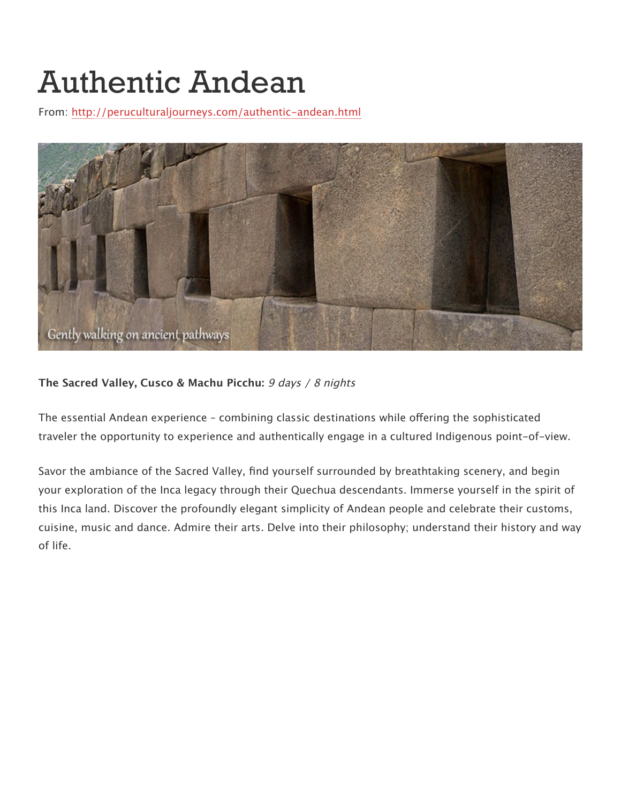# Authentic Andean

From:<http://peruculturaljourneys.com/authentic-andean.html>



#### **The Sacred Valley, Cusco & Machu Picchu:** 9 days / 8 nights

The essential Andean experience - combining classic destinations while offering the sophisticated traveler the opportunity to experience and authentically engage in a cultured Indigenous point-of-view.

Savor the ambiance of the Sacred Valley, find yourself surrounded by breathtaking scenery, and begin your exploration of the Inca legacy through their Quechua descendants. Immerse yourself in the spirit of this Inca land. Discover the profoundly elegant simplicity of Andean people and celebrate their customs, cuisine, music and dance. Admire their arts. Delve into their philosophy; understand their history and way of life.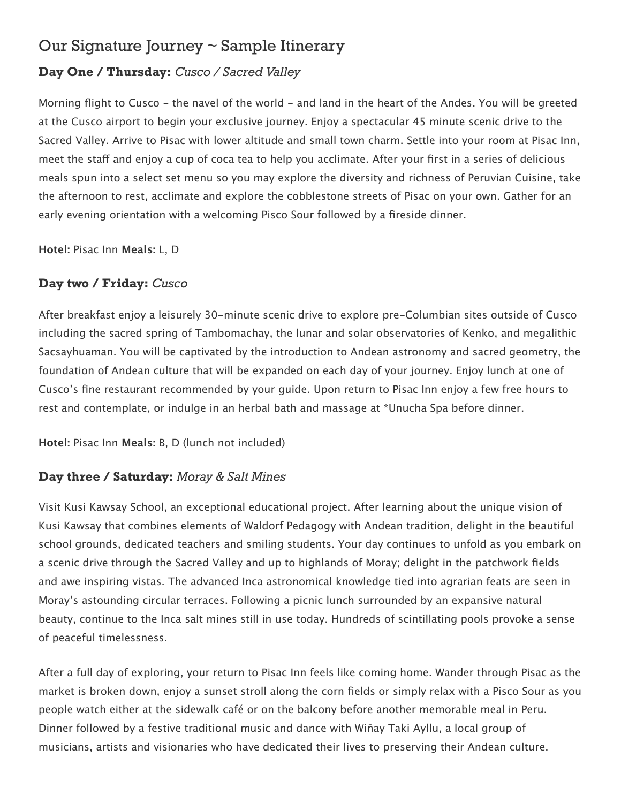# Our Signature Journey ~ Sample Itinerary

# **Day One / Thursday:** *Cusco / Sacred Valley*

Morning flight to Cusco - the navel of the world - and land in the heart of the Andes. You will be greeted at the Cusco airport to begin your exclusive journey. Enjoy a spectacular 45 minute scenic drive to the Sacred Valley. Arrive to Pisac with lower altitude and small town charm. Settle into your room at Pisac Inn, meet the staff and enjoy a cup of coca tea to help you acclimate. After your first in a series of delicious meals spun into a select set menu so you may explore the diversity and richness of Peruvian Cuisine, take the afternoon to rest, acclimate and explore the cobblestone streets of Pisac on your own. Gather for an early evening orientation with a welcoming Pisco Sour followed by a fireside dinner.

**Hotel:** Pisac Inn **Meals:** L, D

### **Day two / Friday:** *Cusco*

After breakfast enjoy a leisurely 30-minute scenic drive to explore pre-Columbian sites outside of Cusco including the sacred spring of Tambomachay, the lunar and solar observatories of Kenko, and megalithic Sacsayhuaman. You will be captivated by the introduction to Andean astronomy and sacred geometry, the foundation of Andean culture that will be expanded on each day of your journey. Enjoy lunch at one of Cusco's fine restaurant recommended by your guide. Upon return to Pisac Inn enjoy a few free hours to rest and contemplate, or indulge in an herbal bath and massage at \*Unucha Spa before dinner.

**Hotel:** Pisac Inn **Meals:** B, D (lunch not included)

### **Day three / Saturday:** *Moray & Salt Mines*

Visit Kusi Kawsay School, an exceptional educational project. After learning about the unique vision of Kusi Kawsay that combines elements of Waldorf Pedagogy with Andean tradition, delight in the beautiful school grounds, dedicated teachers and smiling students. Your day continues to unfold as you embark on a scenic drive through the Sacred Valley and up to highlands of Moray; delight in the patchwork fields and awe inspiring vistas. The advanced Inca astronomical knowledge tied into agrarian feats are seen in Moray's astounding circular terraces. Following a picnic lunch surrounded by an expansive natural beauty, continue to the Inca salt mines still in use today. Hundreds of scintillating pools provoke a sense of peaceful timelessness.

After a full day of exploring, your return to Pisac Inn feels like coming home. Wander through Pisac as the market is broken down, enjoy a sunset stroll along the corn fields or simply relax with a Pisco Sour as you people watch either at the sidewalk café or on the balcony before another memorable meal in Peru. Dinner followed by a festive traditional music and dance with Wiñay Taki Ayllu, a local group of musicians, artists and visionaries who have dedicated their lives to preserving their Andean culture.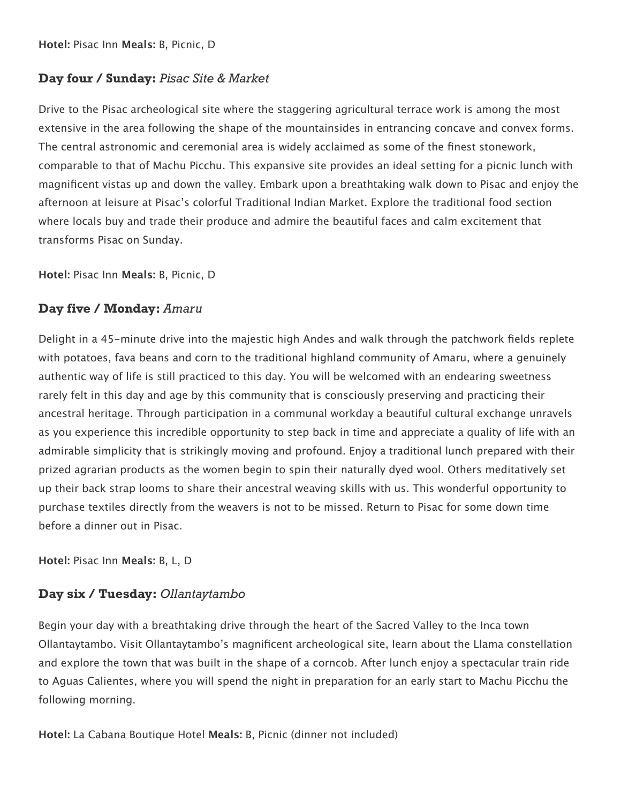#### **Day four / Sunday:** *Pisac Site & Market*

Drive to the Pisac archeological site where the staggering agricultural terrace work is among the most extensive in the area following the shape of the mountainsides in entrancing concave and convex forms. The central astronomic and ceremonial area is widely acclaimed as some of the finest stonework, comparable to that of Machu Picchu. This expansive site provides an ideal setting for a picnic lunch with magnificent vistas up and down the valley. Embark upon a breathtaking walk down to Pisac and enjoy the afternoon at leisure at Pisac's colorful Traditional Indian Market. Explore the traditional food section where locals buy and trade their produce and admire the beautiful faces and calm excitement that transforms Pisac on Sunday.

**Hotel:** Pisac Inn **Meals:** B, Picnic, D

#### **Day five / Monday:** *Amaru*

Delight in a 45-minute drive into the majestic high Andes and walk through the patchwork fields replete with potatoes, fava beans and corn to the traditional highland community of Amaru, where a genuinely authentic way of life is still practiced to this day. You will be welcomed with an endearing sweetness rarely felt in this day and age by this community that is consciously preserving and practicing their ancestral heritage. Through participation in a communal workday a beautiful cultural exchange unravels as you experience this incredible opportunity to step back in time and appreciate a quality of life with an admirable simplicity that is strikingly moving and profound. Enjoy a traditional lunch prepared with their prized agrarian products as the women begin to spin their naturally dyed wool. Others meditatively set up their back strap looms to share their ancestral weaving skills with us. This wonderful opportunity to purchase textiles directly from the weavers is not to be missed. Return to Pisac for some down time before a dinner out in Pisac.

**Hotel:** Pisac Inn **Meals:** B, L, D

#### **Day six / Tuesday:** *Ollantaytambo*

Begin your day with a breathtaking drive through the heart of the Sacred Valley to the Inca town Ollantaytambo. Visit Ollantaytambo's magnificent archeological site, learn about the Llama constellation and explore the town that was built in the shape of a corncob. After lunch enjoy a spectacular train ride to Aguas Calientes, where you will spend the night in preparation for an early start to Machu Picchu the following morning.

**Hotel:** La Cabana Boutique Hotel **Meals:** B, Picnic (dinner not included)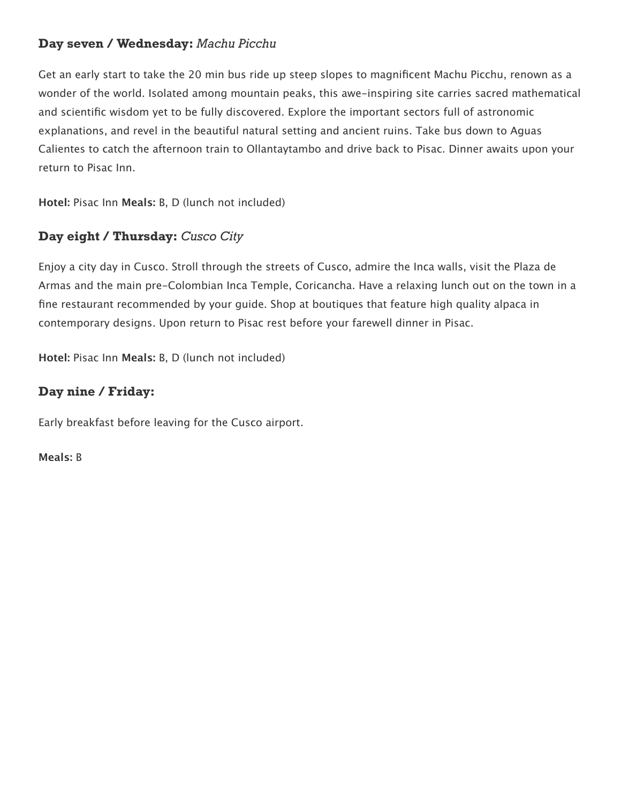### **Day seven / Wednesday:** *Machu Picchu*

Get an early start to take the 20 min bus ride up steep slopes to magnificent Machu Picchu, renown as a wonder of the world. Isolated among mountain peaks, this awe-inspiring site carries sacred mathematical and scientific wisdom yet to be fully discovered. Explore the important sectors full of astronomic explanations, and revel in the beautiful natural setting and ancient ruins. Take bus down to Aguas Calientes to catch the afternoon train to Ollantaytambo and drive back to Pisac. Dinner awaits upon your return to Pisac Inn.

**Hotel:** Pisac Inn **Meals:** B, D (lunch not included)

# **Day eight / Thursday:** *Cusco City*

Enjoy a city day in Cusco. Stroll through the streets of Cusco, admire the Inca walls, visit the Plaza de Armas and the main pre-Colombian Inca Temple, Coricancha. Have a relaxing lunch out on the town in a fine restaurant recommended by your guide. Shop at boutiques that feature high quality alpaca in contemporary designs. Upon return to Pisac rest before your farewell dinner in Pisac.

**Hotel:** Pisac Inn **Meals:** B, D (lunch not included)

#### **Day nine / Friday:**

Early breakfast before leaving for the Cusco airport.

**Meals:** B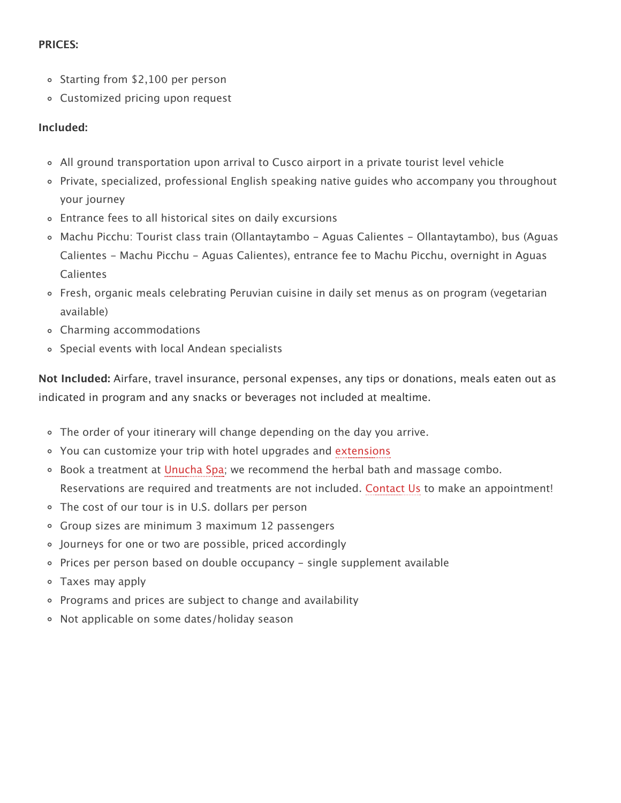#### **PRICES:**

- Starting from \$2,100 per person
- Customized pricing upon request

#### **Included:**

- All ground transportation upon arrival to Cusco airport in a private tourist level vehicle
- Private, specialized, professional English speaking native guides who accompany you throughout your journey
- Entrance fees to all historical sites on daily excursions
- Machu Picchu: Tourist class train (Ollantaytambo Aguas Calientes Ollantaytambo), bus (Aguas Calientes - Machu Picchu - Aguas Calientes), entrance fee to Machu Picchu, overnight in Aguas Calientes
- Fresh, organic meals celebrating Peruvian cuisine in daily set menus as on program (vegetarian available)
- Charming accommodations
- Special events with local Andean specialists

**Not Included:** Airfare, travel insurance, personal expenses, any tips or donations, meals eaten out as indicated in program and any snacks or beverages not included at mealtime.

- $\circ$  The order of your itinerary will change depending on the day you arrive.
- You can customize your trip with hotel upgrades and [extensions](http://peruculturaljourneys.com/our-journeys/our-extensions/)
- Book a treatment at [Unucha Spa;](http://pisacinn.com/inn/unucha-spa) we recommend the herbal bath and massage combo. Reservations are required and treatments are not included. [Contact Us](http://pisacinn.com/inn/contact-us-pisac-inn/) to make an appointment!
- The cost of our tour is in U.S. dollars per person
- Group sizes are minimum 3 maximum 12 passengers
- Journeys for one or two are possible, priced accordingly
- Prices per person based on double occupancy single supplement available
- Taxes may apply
- Programs and prices are subject to change and availability
- Not applicable on some dates/holiday season